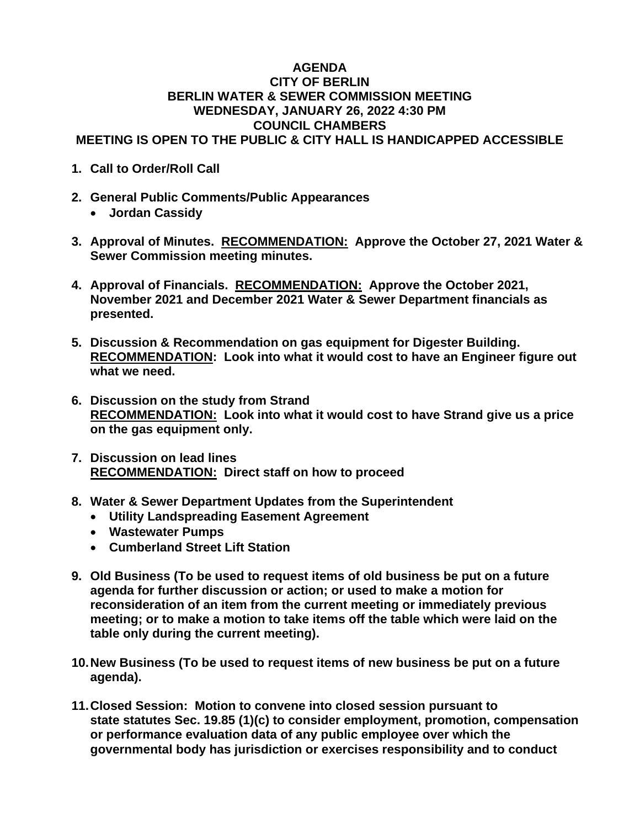## **AGENDA CITY OF BERLIN BERLIN WATER & SEWER COMMISSION MEETING WEDNESDAY, JANUARY 26, 2022 4:30 PM COUNCIL CHAMBERS MEETING IS OPEN TO THE PUBLIC & CITY HALL IS HANDICAPPED ACCESSIBLE**

- **1. Call to Order/Roll Call**
- **2. General Public Comments/Public Appearances**
	- **Jordan Cassidy**
- **3. Approval of Minutes. RECOMMENDATION: Approve the October 27, 2021 Water & Sewer Commission meeting minutes.**
- **4. Approval of Financials. RECOMMENDATION: Approve the October 2021, November 2021 and December 2021 Water & Sewer Department financials as presented.**
- **5. Discussion & Recommendation on gas equipment for Digester Building. RECOMMENDATION: Look into what it would cost to have an Engineer figure out what we need.**
- **6. Discussion on the study from Strand RECOMMENDATION: Look into what it would cost to have Strand give us a price on the gas equipment only.**
- **7. Discussion on lead lines RECOMMENDATION: Direct staff on how to proceed**
- **8. Water & Sewer Department Updates from the Superintendent**
	- **Utility Landspreading Easement Agreement**
	- **Wastewater Pumps**
	- **Cumberland Street Lift Station**
- **9. Old Business (To be used to request items of old business be put on a future agenda for further discussion or action; or used to make a motion for reconsideration of an item from the current meeting or immediately previous meeting; or to make a motion to take items off the table which were laid on the table only during the current meeting).**
- **10.New Business (To be used to request items of new business be put on a future agenda).**
- **11.Closed Session: Motion to convene into closed session pursuant to state statutes Sec. 19.85 (1)(c) to consider employment, promotion, compensation or performance evaluation data of any public employee over which the governmental body has jurisdiction or exercises responsibility and to conduct**